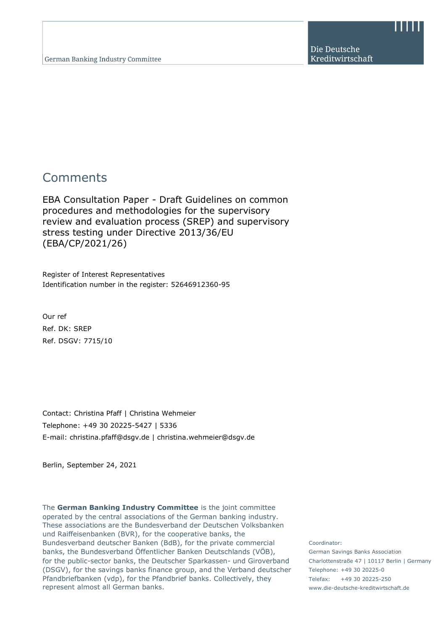Die Deutsche Kreditwirtschaft

# **Comments**

EBA Consultation Paper - Draft Guidelines on common procedures and methodologies for the supervisory review and evaluation process (SREP) and supervisory stress testing under Directive 2013/36/EU (EBA/CP/2021/26)

Register of Interest Representatives Identification number in the register: 52646912360-95

Our ref Ref. DK: SREP Ref. DSGV: 7715/10

Contact: Christina Pfaff | Christina Wehmeier Telephone: +49 30 20225-5427 | 5336 E-mail: christina.pfaff@dsgv.de | christina.wehmeier@dsgv.de

Berlin, September 24, 2021

The **German Banking Industry Committee** is the joint committee operated by the central associations of the German banking industry. These associations are the Bundesverband der Deutschen Volksbanken und Raiffeisenbanken (BVR), for the cooperative banks, the Bundesverband deutscher Banken (BdB), for the private commercial banks, the Bundesverband Öffentlicher Banken Deutschlands (VÖB), for the public-sector banks, the Deutscher Sparkassen- und Giroverband (DSGV), for the savings banks finance group, and the Verband deutscher Pfandbriefbanken (vdp), for the Pfandbrief banks. Collectively, they represent almost all German banks.

Coordinator: German Savings Banks Association Charlottenstraße 47 | 10117 Berlin | Germany Telephone: +49 30 20225-0 Telefax: +49 30 20225-250 www.die-deutsche-kreditwirtschaft.de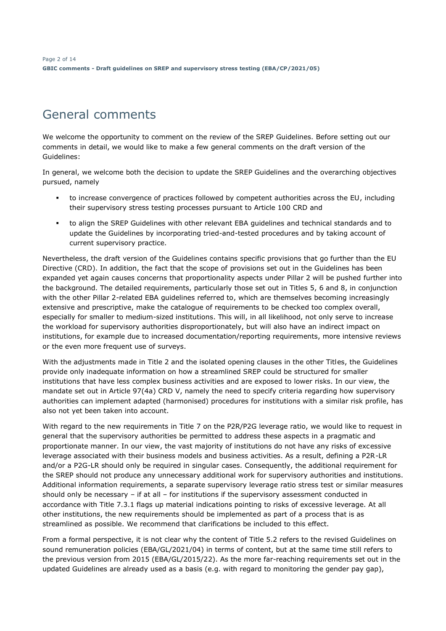# General comments

We welcome the opportunity to comment on the review of the SREP Guidelines. Before setting out our comments in detail, we would like to make a few general comments on the draft version of the Guidelines:

In general, we welcome both the decision to update the SREP Guidelines and the overarching objectives pursued, namely

- to increase convergence of practices followed by competent authorities across the EU, including their supervisory stress testing processes pursuant to Article 100 CRD and
- to align the SREP Guidelines with other relevant EBA guidelines and technical standards and to update the Guidelines by incorporating tried-and-tested procedures and by taking account of current supervisory practice.

Nevertheless, the draft version of the Guidelines contains specific provisions that go further than the EU Directive (CRD). In addition, the fact that the scope of provisions set out in the Guidelines has been expanded yet again causes concerns that proportionality aspects under Pillar 2 will be pushed further into the background. The detailed requirements, particularly those set out in Titles 5, 6 and 8, in conjunction with the other Pillar 2-related EBA guidelines referred to, which are themselves becoming increasingly extensive and prescriptive, make the catalogue of requirements to be checked too complex overall, especially for smaller to medium-sized institutions. This will, in all likelihood, not only serve to increase the workload for supervisory authorities disproportionately, but will also have an indirect impact on institutions, for example due to increased documentation/reporting requirements, more intensive reviews or the even more frequent use of surveys.

With the adjustments made in Title 2 and the isolated opening clauses in the other Titles, the Guidelines provide only inadequate information on how a streamlined SREP could be structured for smaller institutions that have less complex business activities and are exposed to lower risks. In our view, the mandate set out in Article 97(4a) CRD V, namely the need to specify criteria regarding how supervisory authorities can implement adapted (harmonised) procedures for institutions with a similar risk profile, has also not yet been taken into account.

With regard to the new requirements in Title 7 on the P2R/P2G leverage ratio, we would like to request in general that the supervisory authorities be permitted to address these aspects in a pragmatic and proportionate manner. In our view, the vast majority of institutions do not have any risks of excessive leverage associated with their business models and business activities. As a result, defining a P2R-LR and/or a P2G-LR should only be required in singular cases. Consequently, the additional requirement for the SREP should not produce any unnecessary additional work for supervisory authorities and institutions. Additional information requirements, a separate supervisory leverage ratio stress test or similar measures should only be necessary – if at all – for institutions if the supervisory assessment conducted in accordance with Title 7.3.1 flags up material indications pointing to risks of excessive leverage. At all other institutions, the new requirements should be implemented as part of a process that is as streamlined as possible. We recommend that clarifications be included to this effect.

From a formal perspective, it is not clear why the content of Title 5.2 refers to the revised Guidelines on sound remuneration policies (EBA/GL/2021/04) in terms of content, but at the same time still refers to the previous version from 2015 (EBA/GL/2015/22). As the more far-reaching requirements set out in the updated Guidelines are already used as a basis (e.g. with regard to monitoring the gender pay gap),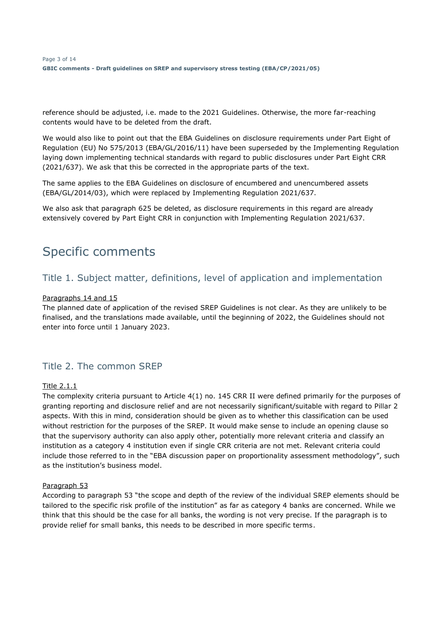reference should be adjusted, i.e. made to the 2021 Guidelines. Otherwise, the more far-reaching contents would have to be deleted from the draft.

We would also like to point out that the EBA Guidelines on disclosure requirements under Part Eight of Regulation (EU) No 575/2013 (EBA/GL/2016/11) have been superseded by the Implementing Regulation laying down implementing technical standards with regard to public disclosures under Part Eight CRR (2021/637). We ask that this be corrected in the appropriate parts of the text.

The same applies to the EBA Guidelines on disclosure of encumbered and unencumbered assets (EBA/GL/2014/03), which were replaced by Implementing Regulation 2021/637.

We also ask that paragraph 625 be deleted, as disclosure requirements in this regard are already extensively covered by Part Eight CRR in conjunction with Implementing Regulation 2021/637.

# Specific comments

# Title 1. Subject matter, definitions, level of application and implementation

### Paragraphs 14 and 15

The planned date of application of the revised SREP Guidelines is not clear. As they are unlikely to be finalised, and the translations made available, until the beginning of 2022, the Guidelines should not enter into force until 1 January 2023.

# Title 2. The common SREP

### Title 2.1.1

The complexity criteria pursuant to Article 4(1) no. 145 CRR II were defined primarily for the purposes of granting reporting and disclosure relief and are not necessarily significant/suitable with regard to Pillar 2 aspects. With this in mind, consideration should be given as to whether this classification can be used without restriction for the purposes of the SREP. It would make sense to include an opening clause so that the supervisory authority can also apply other, potentially more relevant criteria and classify an institution as a category 4 institution even if single CRR criteria are not met. Relevant criteria could include those referred to in the "EBA discussion paper on proportionality assessment methodology", such as the institution's business model.

#### Paragraph 53

According to paragraph 53 "the scope and depth of the review of the individual SREP elements should be tailored to the specific risk profile of the institution" as far as category 4 banks are concerned. While we think that this should be the case for all banks, the wording is not very precise. If the paragraph is to provide relief for small banks, this needs to be described in more specific terms.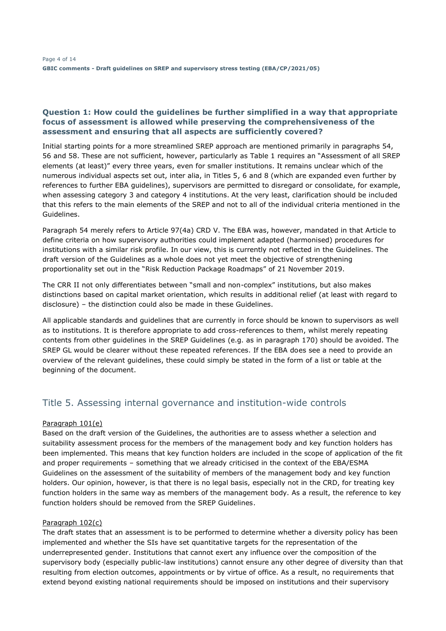### **Question 1: How could the guidelines be further simplified in a way that appropriate focus of assessment is allowed while preserving the comprehensiveness of the assessment and ensuring that all aspects are sufficiently covered?**

Initial starting points for a more streamlined SREP approach are mentioned primarily in paragraphs 54, 56 and 58. These are not sufficient, however, particularly as Table 1 requires an "Assessment of all SREP elements (at least)" every three years, even for smaller institutions. It remains unclear which of the numerous individual aspects set out, inter alia, in Titles 5, 6 and 8 (which are expanded even further by references to further EBA guidelines), supervisors are permitted to disregard or consolidate, for example, when assessing category 3 and category 4 institutions. At the very least, clarification should be included that this refers to the main elements of the SREP and not to all of the individual criteria mentioned in the Guidelines.

Paragraph 54 merely refers to Article 97(4a) CRD V. The EBA was, however, mandated in that Article to define criteria on how supervisory authorities could implement adapted (harmonised) procedures for institutions with a similar risk profile. In our view, this is currently not reflected in the Guidelines. The draft version of the Guidelines as a whole does not yet meet the objective of strengthening proportionality set out in the "Risk Reduction Package Roadmaps" of 21 November 2019.

The CRR II not only differentiates between "small and non-complex" institutions, but also makes distinctions based on capital market orientation, which results in additional relief (at least with regard to disclosure) – the distinction could also be made in these Guidelines.

All applicable standards and guidelines that are currently in force should be known to supervisors as well as to institutions. It is therefore appropriate to add cross-references to them, whilst merely repeating contents from other guidelines in the SREP Guidelines (e.g. as in paragraph 170) should be avoided. The SREP GL would be clearer without these repeated references. If the EBA does see a need to provide an overview of the relevant guidelines, these could simply be stated in the form of a list or table at the beginning of the document.

# Title 5. Assessing internal governance and institution-wide controls

### Paragraph 101(e)

Based on the draft version of the Guidelines, the authorities are to assess whether a selection and suitability assessment process for the members of the management body and key function holders has been implemented. This means that key function holders are included in the scope of application of the fit and proper requirements – something that we already criticised in the context of the EBA/ESMA Guidelines on the assessment of the suitability of members of the management body and key function holders. Our opinion, however, is that there is no legal basis, especially not in the CRD, for treating key function holders in the same way as members of the management body. As a result, the reference to key function holders should be removed from the SREP Guidelines.

### Paragraph 102(c)

The draft states that an assessment is to be performed to determine whether a diversity policy has been implemented and whether the SIs have set quantitative targets for the representation of the underrepresented gender. Institutions that cannot exert any influence over the composition of the supervisory body (especially public-law institutions) cannot ensure any other degree of diversity than that resulting from election outcomes, appointments or by virtue of office. As a result, no requirements that extend beyond existing national requirements should be imposed on institutions and their supervisory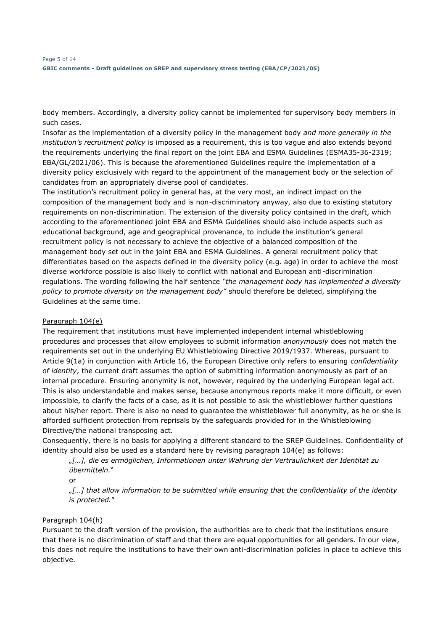body members. Accordingly, a diversity policy cannot be implemented for supervisory body members in such cases.

Insofar as the implementation of a diversity policy in the management body *and more generally in the institution's recruitment policy* is imposed as a requirement, this is too vague and also extends beyond the requirements underlying the final report on the joint EBA and ESMA Guidelines (ESMA35-36-2319; EBA/GL/2021/06). This is because the aforementioned Guidelines require the implementation of a diversity policy exclusively with regard to the appointment of the management body or the selection of candidates from an appropriately diverse pool of candidates.

The institution's recruitment policy in general has, at the very most, an indirect impact on the composition of the management body and is non-discriminatory anyway, also due to existing statutory requirements on non-discrimination. The extension of the diversity policy contained in the draft, which according to the aforementioned joint EBA and ESMA Guidelines should also include aspects such as educational background, age and geographical provenance, to include the institution's general recruitment policy is not necessary to achieve the objective of a balanced composition of the management body set out in the joint EBA and ESMA Guidelines. A general recruitment policy that differentiates based on the aspects defined in the diversity policy (e.g. age) in order to achieve the most diverse workforce possible is also likely to conflict with national and European anti-discrimination regulations. The wording following the half sentence *"the management body has implemented a diversity policy to promote diversity on the management body"* should therefore be deleted, simplifying the Guidelines at the same time.

### Paragraph 104(e)

The requirement that institutions must have implemented independent internal whistleblowing procedures and processes that allow employees to submit information *anonymously* does not match the requirements set out in the underlying EU Whistleblowing Directive 2019/1937. Whereas, pursuant to Article 9(1a) in conjunction with Article 16, the European Directive only refers to ensuring *confidentiality of identity*, the current draft assumes the option of submitting information anonymously as part of an internal procedure. Ensuring anonymity is not, however, required by the underlying European legal act. This is also understandable and makes sense, because anonymous reports make it more difficult, or even impossible, to clarify the facts of a case, as it is not possible to ask the whistleblower further questions about his/her report. There is also no need to guarantee the whistleblower full anonymity, as he or she is afforded sufficient protection from reprisals by the safeguards provided for in the Whistleblowing Directive/the national transposing act.

Consequently, there is no basis for applying a different standard to the SREP Guidelines. Confidentiality of identity should also be used as a standard here by revising paragraph 104(e) as follows:

"*[…], die es ermöglichen, Informationen unter Wahrung der Vertraulichkeit der Identität zu übermitteln.*"

or

"*[…] that allow information to be submitted while ensuring that the confidentiality of the identity is protected.*"

#### Paragraph 104(h)

Pursuant to the draft version of the provision, the authorities are to check that the institutions ensure that there is no discrimination of staff and that there are equal opportunities for all genders. In our view, this does not require the institutions to have their own anti-discrimination policies in place to achieve this objective.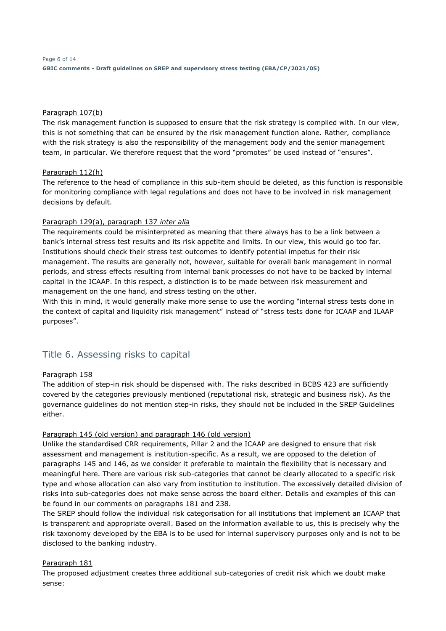### Paragraph 107(b)

The risk management function is supposed to ensure that the risk strategy is complied with. In our view, this is not something that can be ensured by the risk management function alone. Rather, compliance with the risk strategy is also the responsibility of the management body and the senior management team, in particular. We therefore request that the word "promotes" be used instead of "ensures".

### Paragraph 112(h)

The reference to the head of compliance in this sub-item should be deleted, as this function is responsible for monitoring compliance with legal regulations and does not have to be involved in risk management decisions by default.

### Paragraph 129(a), paragraph 137 *inter alia*

The requirements could be misinterpreted as meaning that there always has to be a link between a bank's internal stress test results and its risk appetite and limits. In our view, this would go too far. Institutions should check their stress test outcomes to identify potential impetus for their risk management. The results are generally not, however, suitable for overall bank management in normal periods, and stress effects resulting from internal bank processes do not have to be backed by internal capital in the ICAAP. In this respect, a distinction is to be made between risk measurement and management on the one hand, and stress testing on the other.

With this in mind, it would generally make more sense to use the wording "internal stress tests done in the context of capital and liquidity risk management" instead of "stress tests done for ICAAP and ILAAP purposes".

# Title 6. Assessing risks to capital

#### Paragraph 158

The addition of step-in risk should be dispensed with. The risks described in BCBS 423 are sufficiently covered by the categories previously mentioned (reputational risk, strategic and business risk). As the governance guidelines do not mention step-in risks, they should not be included in the SREP Guidelines either.

### Paragraph 145 (old version) and paragraph 146 (old version)

Unlike the standardised CRR requirements, Pillar 2 and the ICAAP are designed to ensure that risk assessment and management is institution-specific. As a result, we are opposed to the deletion of paragraphs 145 and 146, as we consider it preferable to maintain the flexibility that is necessary and meaningful here. There are various risk sub-categories that cannot be clearly allocated to a specific risk type and whose allocation can also vary from institution to institution. The excessively detailed division of risks into sub-categories does not make sense across the board either. Details and examples of this can be found in our comments on paragraphs 181 and 238.

The SREP should follow the individual risk categorisation for all institutions that implement an ICAAP that is transparent and appropriate overall. Based on the information available to us, this is precisely why the risk taxonomy developed by the EBA is to be used for internal supervisory purposes only and is not to be disclosed to the banking industry.

### Paragraph 181

The proposed adjustment creates three additional sub-categories of credit risk which we doubt make sense: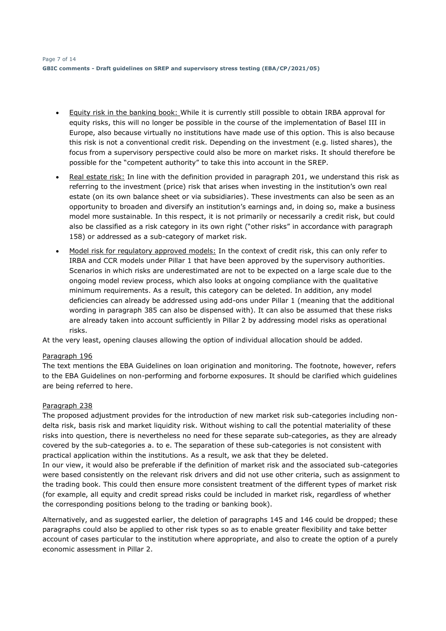- Equity risk in the banking book: While it is currently still possible to obtain IRBA approval for equity risks, this will no longer be possible in the course of the implementation of Basel III in Europe, also because virtually no institutions have made use of this option. This is also because this risk is not a conventional credit risk. Depending on the investment (e.g. listed shares), the focus from a supervisory perspective could also be more on market risks. It should therefore be possible for the "competent authority" to take this into account in the SREP.
- Real estate risk: In line with the definition provided in paragraph 201, we understand this risk as referring to the investment (price) risk that arises when investing in the institution's own real estate (on its own balance sheet or via subsidiaries). These investments can also be seen as an opportunity to broaden and diversify an institution's earnings and, in doing so, make a business model more sustainable. In this respect, it is not primarily or necessarily a credit risk, but could also be classified as a risk category in its own right ("other risks" in accordance with paragraph 158) or addressed as a sub-category of market risk.
- Model risk for regulatory approved models: In the context of credit risk, this can only refer to IRBA and CCR models under Pillar 1 that have been approved by the supervisory authorities. Scenarios in which risks are underestimated are not to be expected on a large scale due to the ongoing model review process, which also looks at ongoing compliance with the qualitative minimum requirements. As a result, this category can be deleted. In addition, any model deficiencies can already be addressed using add-ons under Pillar 1 (meaning that the additional wording in paragraph 385 can also be dispensed with). It can also be assumed that these risks are already taken into account sufficiently in Pillar 2 by addressing model risks as operational risks.

At the very least, opening clauses allowing the option of individual allocation should be added.

### Paragraph 196

The text mentions the EBA Guidelines on loan origination and monitoring. The footnote, however, refers to the EBA Guidelines on non-performing and forborne exposures. It should be clarified which guidelines are being referred to here.

### Paragraph 238

The proposed adjustment provides for the introduction of new market risk sub-categories including nondelta risk, basis risk and market liquidity risk. Without wishing to call the potential materiality of these risks into question, there is nevertheless no need for these separate sub-categories, as they are already covered by the sub-categories a. to e. The separation of these sub-categories is not consistent with practical application within the institutions. As a result, we ask that they be deleted.

In our view, it would also be preferable if the definition of market risk and the associated sub-categories were based consistently on the relevant risk drivers and did not use other criteria, such as assignment to the trading book. This could then ensure more consistent treatment of the different types of market risk (for example, all equity and credit spread risks could be included in market risk, regardless of whether the corresponding positions belong to the trading or banking book).

Alternatively, and as suggested earlier, the deletion of paragraphs 145 and 146 could be dropped; these paragraphs could also be applied to other risk types so as to enable greater flexibility and take better account of cases particular to the institution where appropriate, and also to create the option of a purely economic assessment in Pillar 2.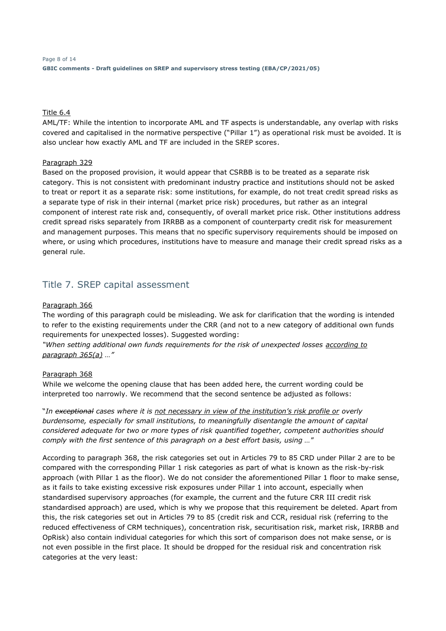### Title 6.4

AML/TF: While the intention to incorporate AML and TF aspects is understandable, any overlap with risks covered and capitalised in the normative perspective ("Pillar 1") as operational risk must be avoided. It is also unclear how exactly AML and TF are included in the SREP scores.

#### Paragraph 329

Based on the proposed provision, it would appear that CSRBB is to be treated as a separate risk category. This is not consistent with predominant industry practice and institutions should not be asked to treat or report it as a separate risk: some institutions, for example, do not treat credit spread risks as a separate type of risk in their internal (market price risk) procedures, but rather as an integral component of interest rate risk and, consequently, of overall market price risk. Other institutions address credit spread risks separately from IRRBB as a component of counterparty credit risk for measurement and management purposes. This means that no specific supervisory requirements should be imposed on where, or using which procedures, institutions have to measure and manage their credit spread risks as a general rule.

# Title 7. SREP capital assessment

#### Paragraph 366

The wording of this paragraph could be misleading. We ask for clarification that the wording is intended to refer to the existing requirements under the CRR (and not to a new category of additional own funds requirements for unexpected losses). Suggested wording:

*"When setting additional own funds requirements for the risk of unexpected losses according to paragraph 365(a) …"*

#### Paragraph 368

While we welcome the opening clause that has been added here, the current wording could be interpreted too narrowly. We recommend that the second sentence be adjusted as follows:

"*In exceptional cases where it is not necessary in view of the institution's risk profile or overly burdensome, especially for small institutions, to meaningfully disentangle the amount of capital considered adequate for two or more types of risk quantified together, competent authorities should comply with the first sentence of this paragraph on a best effort basis, using …*"

According to paragraph 368, the risk categories set out in Articles 79 to 85 CRD under Pillar 2 are to be compared with the corresponding Pillar 1 risk categories as part of what is known as the risk-by-risk approach (with Pillar 1 as the floor). We do not consider the aforementioned Pillar 1 floor to make sense, as it fails to take existing excessive risk exposures under Pillar 1 into account, especially when standardised supervisory approaches (for example, the current and the future CRR III credit risk standardised approach) are used, which is why we propose that this requirement be deleted. Apart from this, the risk categories set out in Articles 79 to 85 (credit risk and CCR, residual risk (referring to the reduced effectiveness of CRM techniques), concentration risk, securitisation risk, market risk, IRRBB and OpRisk) also contain individual categories for which this sort of comparison does not make sense, or is not even possible in the first place. It should be dropped for the residual risk and concentration risk categories at the very least: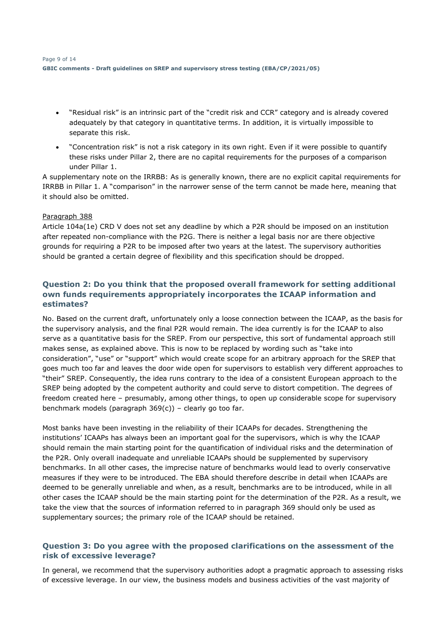- "Residual risk" is an intrinsic part of the "credit risk and CCR" category and is already covered adequately by that category in quantitative terms. In addition, it is virtually impossible to separate this risk.
- "Concentration risk" is not a risk category in its own right. Even if it were possible to quantify these risks under Pillar 2, there are no capital requirements for the purposes of a comparison under Pillar 1.

A supplementary note on the IRRBB: As is generally known, there are no explicit capital requirements for IRRBB in Pillar 1. A "comparison" in the narrower sense of the term cannot be made here, meaning that it should also be omitted.

### Paragraph 388

Article 104a(1e) CRD V does not set any deadline by which a P2R should be imposed on an institution after repeated non-compliance with the P2G. There is neither a legal basis nor are there objective grounds for requiring a P2R to be imposed after two years at the latest. The supervisory authorities should be granted a certain degree of flexibility and this specification should be dropped.

# **Question 2: Do you think that the proposed overall framework for setting additional own funds requirements appropriately incorporates the ICAAP information and estimates?**

No. Based on the current draft, unfortunately only a loose connection between the ICAAP, as the basis for the supervisory analysis, and the final P2R would remain. The idea currently is for the ICAAP to also serve as a quantitative basis for the SREP. From our perspective, this sort of fundamental approach still makes sense, as explained above. This is now to be replaced by wording such as "take into consideration", "use" or "support" which would create scope for an arbitrary approach for the SREP that goes much too far and leaves the door wide open for supervisors to establish very different approaches to "their" SREP. Consequently, the idea runs contrary to the idea of a consistent European approach to the SREP being adopted by the competent authority and could serve to distort competition. The degrees of freedom created here – presumably, among other things, to open up considerable scope for supervisory benchmark models (paragraph 369(c)) – clearly go too far.

Most banks have been investing in the reliability of their ICAAPs for decades. Strengthening the institutions' ICAAPs has always been an important goal for the supervisors, which is why the ICAAP should remain the main starting point for the quantification of individual risks and the determination of the P2R. Only overall inadequate and unreliable ICAAPs should be supplemented by supervisory benchmarks. In all other cases, the imprecise nature of benchmarks would lead to overly conservative measures if they were to be introduced. The EBA should therefore describe in detail when ICAAPs are deemed to be generally unreliable and when, as a result, benchmarks are to be introduced, while in all other cases the ICAAP should be the main starting point for the determination of the P2R. As a result, we take the view that the sources of information referred to in paragraph 369 should only be used as supplementary sources; the primary role of the ICAAP should be retained.

# **Question 3: Do you agree with the proposed clarifications on the assessment of the risk of excessive leverage?**

In general, we recommend that the supervisory authorities adopt a pragmatic approach to assessing risks of excessive leverage. In our view, the business models and business activities of the vast majority of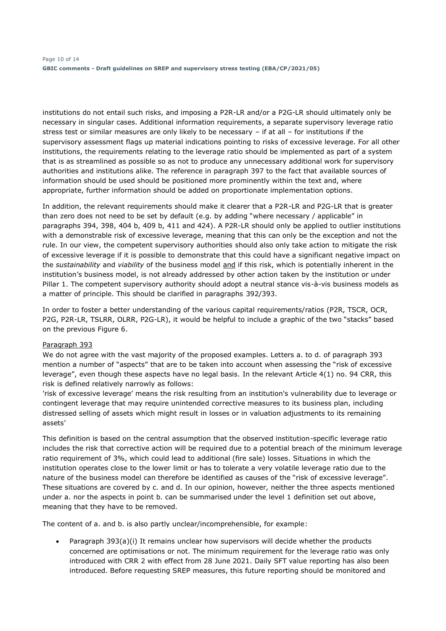institutions do not entail such risks, and imposing a P2R-LR and/or a P2G-LR should ultimately only be necessary in singular cases. Additional information requirements, a separate supervisory leverage ratio stress test or similar measures are only likely to be necessary – if at all – for institutions if the supervisory assessment flags up material indications pointing to risks of excessive leverage. For all other institutions, the requirements relating to the leverage ratio should be implemented as part of a system that is as streamlined as possible so as not to produce any unnecessary additional work for supervisory authorities and institutions alike. The reference in paragraph 397 to the fact that available sources of information should be used should be positioned more prominently within the text and, where appropriate, further information should be added on proportionate implementation options.

In addition, the relevant requirements should make it clearer that a P2R-LR and P2G-LR that is greater than zero does not need to be set by default (e.g. by adding "where necessary / applicable" in paragraphs 394, 398, 404 b, 409 b, 411 and 424). A P2R-LR should only be applied to outlier institutions with a demonstrable risk of excessive leverage, meaning that this can only be the exception and not the rule. In our view, the competent supervisory authorities should also only take action to mitigate the risk of excessive leverage if it is possible to demonstrate that this could have a significant negative impact on the *sustainability* and *viability* of the business model and if this risk, which is potentially inherent in the institution's business model, is not already addressed by other action taken by the institution or under Pillar 1. The competent supervisory authority should adopt a neutral stance vis-à-vis business models as a matter of principle. This should be clarified in paragraphs 392/393.

In order to foster a better understanding of the various capital requirements/ratios (P2R, TSCR, OCR, P2G, P2R-LR, TSLRR, OLRR, P2G-LR), it would be helpful to include a graphic of the two "stacks" based on the previous Figure 6.

### Paragraph 393

We do not agree with the vast majority of the proposed examples. Letters a. to d. of paragraph 393 mention a number of "aspects" that are to be taken into account when assessing the "risk of excessive leverage", even though these aspects have no legal basis. In the relevant Article 4(1) no. 94 CRR, this risk is defined relatively narrowly as follows:

'risk of excessive leverage' means the risk resulting from an institution's vulnerability due to leverage or contingent leverage that may require unintended corrective measures to its business plan, including distressed selling of assets which might result in losses or in valuation adjustments to its remaining assets'

This definition is based on the central assumption that the observed institution-specific leverage ratio includes the risk that corrective action will be required due to a potential breach of the minimum leverage ratio requirement of 3%, which could lead to additional (fire sale) losses. Situations in which the institution operates close to the lower limit or has to tolerate a very volatile leverage ratio due to the nature of the business model can therefore be identified as causes of the "risk of excessive leverage". These situations are covered by c. and d. In our opinion, however, neither the three aspects mentioned under a. nor the aspects in point b. can be summarised under the level 1 definition set out above, meaning that they have to be removed.

The content of a. and b. is also partly unclear/incomprehensible, for example:

• Paragraph 393(a)(i) It remains unclear how supervisors will decide whether the products concerned are optimisations or not. The minimum requirement for the leverage ratio was only introduced with CRR 2 with effect from 28 June 2021. Daily SFT value reporting has also been introduced. Before requesting SREP measures, this future reporting should be monitored and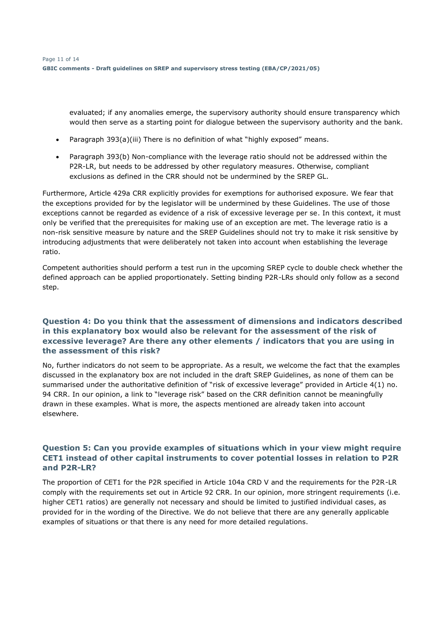evaluated; if any anomalies emerge, the supervisory authority should ensure transparency which would then serve as a starting point for dialogue between the supervisory authority and the bank.

- Paragraph 393(a)(iii) There is no definition of what "highly exposed" means.
- Paragraph 393(b) Non-compliance with the leverage ratio should not be addressed within the P2R-LR, but needs to be addressed by other regulatory measures. Otherwise, compliant exclusions as defined in the CRR should not be undermined by the SREP GL.

Furthermore, Article 429a CRR explicitly provides for exemptions for authorised exposure. We fear that the exceptions provided for by the legislator will be undermined by these Guidelines. The use of those exceptions cannot be regarded as evidence of a risk of excessive leverage per se. In this context, it must only be verified that the prerequisites for making use of an exception are met. The leverage ratio is a non-risk sensitive measure by nature and the SREP Guidelines should not try to make it risk sensitive by introducing adjustments that were deliberately not taken into account when establishing the leverage ratio.

Competent authorities should perform a test run in the upcoming SREP cycle to double check whether the defined approach can be applied proportionately. Setting binding P2R-LRs should only follow as a second step.

### **Question 4: Do you think that the assessment of dimensions and indicators described in this explanatory box would also be relevant for the assessment of the risk of excessive leverage? Are there any other elements / indicators that you are using in the assessment of this risk?**

No, further indicators do not seem to be appropriate. As a result, we welcome the fact that the examples discussed in the explanatory box are not included in the draft SREP Guidelines, as none of them can be summarised under the authoritative definition of "risk of excessive leverage" provided in Article 4(1) no. 94 CRR. In our opinion, a link to "leverage risk" based on the CRR definition cannot be meaningfully drawn in these examples. What is more, the aspects mentioned are already taken into account elsewhere.

# **Question 5: Can you provide examples of situations which in your view might require CET1 instead of other capital instruments to cover potential losses in relation to P2R and P2R-LR?**

The proportion of CET1 for the P2R specified in Article 104a CRD V and the requirements for the P2R-LR comply with the requirements set out in Article 92 CRR. In our opinion, more stringent requirements (i.e. higher CET1 ratios) are generally not necessary and should be limited to justified individual cases, as provided for in the wording of the Directive. We do not believe that there are any generally applicable examples of situations or that there is any need for more detailed regulations.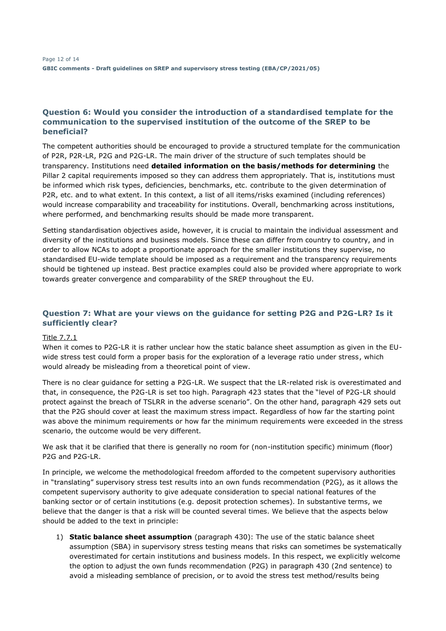### **Question 6: Would you consider the introduction of a standardised template for the communication to the supervised institution of the outcome of the SREP to be beneficial?**

The competent authorities should be encouraged to provide a structured template for the communication of P2R, P2R-LR, P2G and P2G-LR. The main driver of the structure of such templates should be transparency. Institutions need **detailed information on the basis/methods for determining** the Pillar 2 capital requirements imposed so they can address them appropriately. That is, institutions must be informed which risk types, deficiencies, benchmarks, etc. contribute to the given determination of P2R, etc. and to what extent. In this context, a list of all items/risks examined (including references) would increase comparability and traceability for institutions. Overall, benchmarking across institutions, where performed, and benchmarking results should be made more transparent.

Setting standardisation objectives aside, however, it is crucial to maintain the individual assessment and diversity of the institutions and business models. Since these can differ from country to country, and in order to allow NCAs to adopt a proportionate approach for the smaller institutions they supervise, no standardised EU-wide template should be imposed as a requirement and the transparency requirements should be tightened up instead. Best practice examples could also be provided where appropriate to work towards greater convergence and comparability of the SREP throughout the EU.

# **Question 7: What are your views on the guidance for setting P2G and P2G-LR? Is it sufficiently clear?**

### Title 7.7.1

When it comes to P2G-LR it is rather unclear how the static balance sheet assumption as given in the EUwide stress test could form a proper basis for the exploration of a leverage ratio under stress, which would already be misleading from a theoretical point of view.

There is no clear guidance for setting a P2G-LR. We suspect that the LR-related risk is overestimated and that, in consequence, the P2G-LR is set too high. Paragraph 423 states that the "level of P2G-LR should protect against the breach of TSLRR in the adverse scenario". On the other hand, paragraph 429 sets out that the P2G should cover at least the maximum stress impact. Regardless of how far the starting point was above the minimum requirements or how far the minimum requirements were exceeded in the stress scenario, the outcome would be very different.

We ask that it be clarified that there is generally no room for (non-institution specific) minimum (floor) P2G and P2G-LR.

In principle, we welcome the methodological freedom afforded to the competent supervisory authorities in "translating" supervisory stress test results into an own funds recommendation (P2G), as it allows the competent supervisory authority to give adequate consideration to special national features of the banking sector or of certain institutions (e.g. deposit protection schemes). In substantive terms, we believe that the danger is that a risk will be counted several times. We believe that the aspects below should be added to the text in principle:

1) **Static balance sheet assumption** (paragraph 430): The use of the static balance sheet assumption (SBA) in supervisory stress testing means that risks can sometimes be systematically overestimated for certain institutions and business models. In this respect, we explicitly welcome the option to adjust the own funds recommendation (P2G) in paragraph 430 (2nd sentence) to avoid a misleading semblance of precision, or to avoid the stress test method/results being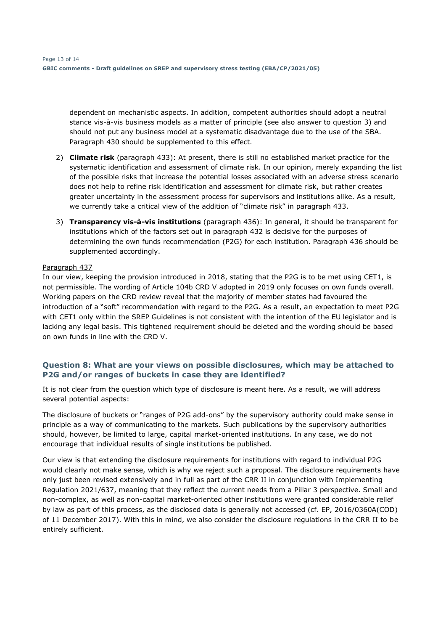dependent on mechanistic aspects. In addition, competent authorities should adopt a neutral stance vis-à-vis business models as a matter of principle (see also answer to question 3) and should not put any business model at a systematic disadvantage due to the use of the SBA. Paragraph 430 should be supplemented to this effect.

- 2) **Climate risk** (paragraph 433): At present, there is still no established market practice for the systematic identification and assessment of climate risk. In our opinion, merely expanding the list of the possible risks that increase the potential losses associated with an adverse stress scenario does not help to refine risk identification and assessment for climate risk, but rather creates greater uncertainty in the assessment process for supervisors and institutions alike. As a result, we currently take a critical view of the addition of "climate risk" in paragraph 433.
- 3) **Transparency vis-à-vis institutions** (paragraph 436): In general, it should be transparent for institutions which of the factors set out in paragraph 432 is decisive for the purposes of determining the own funds recommendation (P2G) for each institution. Paragraph 436 should be supplemented accordingly.

### Paragraph 437

In our view, keeping the provision introduced in 2018, stating that the P2G is to be met using CET1, is not permissible. The wording of Article 104b CRD V adopted in 2019 only focuses on own funds overall. Working papers on the CRD review reveal that the majority of member states had favoured the introduction of a "soft" recommendation with regard to the P2G. As a result, an expectation to meet P2G with CET1 only within the SREP Guidelines is not consistent with the intention of the EU legislator and is lacking any legal basis. This tightened requirement should be deleted and the wording should be based on own funds in line with the CRD V.

### **Question 8: What are your views on possible disclosures, which may be attached to P2G and/or ranges of buckets in case they are identified?**

It is not clear from the question which type of disclosure is meant here. As a result, we will address several potential aspects:

The disclosure of buckets or "ranges of P2G add-ons" by the supervisory authority could make sense in principle as a way of communicating to the markets. Such publications by the supervisory authorities should, however, be limited to large, capital market-oriented institutions. In any case, we do not encourage that individual results of single institutions be published.

Our view is that extending the disclosure requirements for institutions with regard to individual P2G would clearly not make sense, which is why we reject such a proposal. The disclosure requirements have only just been revised extensively and in full as part of the CRR II in conjunction with Implementing Regulation 2021/637, meaning that they reflect the current needs from a Pillar 3 perspective. Small and non-complex, as well as non-capital market-oriented other institutions were granted considerable relief by law as part of this process, as the disclosed data is generally not accessed (cf. EP, 2016/0360A(COD) of 11 December 2017). With this in mind, we also consider the disclosure regulations in the CRR II to be entirely sufficient.